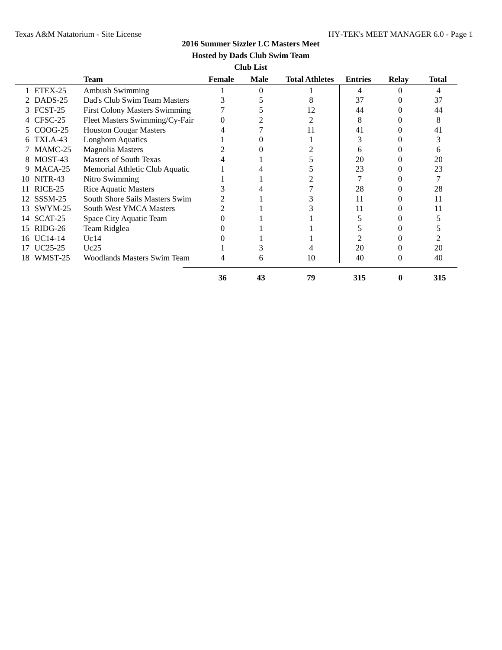## **2016 Summer Sizzler LC Masters Meet**

# **Hosted by Dads Club Swim Team**

**Club List**

|                      | <b>Team</b>                          | Female | Male | <b>Total Athletes</b> | <b>Entries</b> | <b>Relay</b>      | <b>Total</b> |
|----------------------|--------------------------------------|--------|------|-----------------------|----------------|-------------------|--------------|
| ETEX-25              | <b>Ambush Swimming</b>               |        | 0    |                       | 4              |                   | 4            |
| DADS-25              | Dad's Club Swim Team Masters         |        |      | 8                     | 37             |                   | 37           |
| FCST-25<br>3         | <b>First Colony Masters Swimming</b> |        |      | 12                    | 44             |                   | 44           |
| CFSC-25              | Fleet Masters Swimming/Cy-Fair       |        |      |                       | 8              |                   | 8            |
| 5 COOG-25            | <b>Houston Cougar Masters</b>        |        |      | 11                    | 41             |                   | 41           |
| TXLA-43<br>6         | <b>Longhorn Aquatics</b>             |        |      |                       | 3              |                   |              |
| MAMC-25              | <b>Magnolia Masters</b>              |        |      |                       | 6              |                   | h            |
| MOST-43<br>8         | Masters of South Texas               |        |      |                       | 20             |                   | 20           |
| MACA-25<br>9.        | Memorial Athletic Club Aquatic       |        |      |                       | 23             |                   | 23           |
| NITR-43<br>10        | Nitro Swimming                       |        |      |                       |                |                   |              |
| RICE-25<br>11        | <b>Rice Aquatic Masters</b>          |        |      |                       | 28             |                   | 28           |
| 12 SSSM-25           | South Shore Sails Masters Swim       |        |      |                       | 11             |                   | 11           |
| SWYM-25<br>13        | <b>South West YMCA Masters</b>       |        |      |                       | 11             |                   | 11           |
| SCAT-25<br>14        | Space City Aquatic Team              |        |      |                       |                |                   |              |
| $RIDG-26$<br>15      | Team Ridglea                         |        |      |                       |                |                   |              |
| 16 UC14-14           | Uc14                                 |        |      |                       |                |                   |              |
| UC <sub>25</sub> -25 | Uc25                                 |        |      |                       | 20             |                   | 20           |
| 18 WMST-25           | Woodlands Masters Swim Team          |        | 6    | 10                    | 40             | $\mathbf{\Omega}$ | 40           |
|                      |                                      | 36     | 43   | 79                    | 315            |                   | 315          |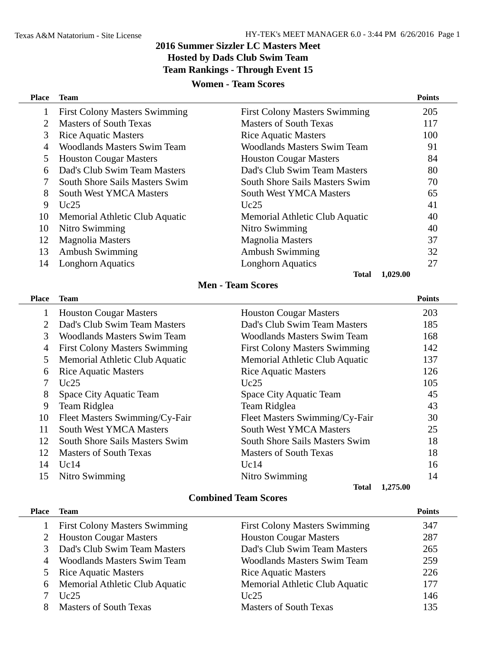# **2016 Summer Sizzler LC Masters Meet Hosted by Dads Club Swim Team Team Rankings - Through Event 15**

## **Women - Team Scores**

| <b>Place</b> | Team                                 |                                      | <b>Points</b> |
|--------------|--------------------------------------|--------------------------------------|---------------|
|              | <b>First Colony Masters Swimming</b> | <b>First Colony Masters Swimming</b> | 205           |
| 2            | Masters of South Texas               | Masters of South Texas               | 117           |
| 3            | <b>Rice Aquatic Masters</b>          | <b>Rice Aquatic Masters</b>          | 100           |
| 4            | Woodlands Masters Swim Team          | Woodlands Masters Swim Team          | 91            |
| 5            | <b>Houston Cougar Masters</b>        | <b>Houston Cougar Masters</b>        | 84            |
| 6            | Dad's Club Swim Team Masters         | Dad's Club Swim Team Masters         | 80            |
|              | South Shore Sails Masters Swim       | South Shore Sails Masters Swim       | 70            |
| 8            | <b>South West YMCA Masters</b>       | <b>South West YMCA Masters</b>       | 65            |
| 9            | Uc25                                 | Uc25                                 | 41            |
| 10           | Memorial Athletic Club Aquatic       | Memorial Athletic Club Aquatic       | 40            |
| 10           | Nitro Swimming                       | Nitro Swimming                       | 40            |
| 12           | Magnolia Masters                     | Magnolia Masters                     | 37            |
| 13           | Ambush Swimming                      | <b>Ambush Swimming</b>               | 32            |
| 14           | <b>Longhorn Aquatics</b>             | <b>Longhorn Aquatics</b>             | 27            |
|              |                                      | <b>Total</b>                         | 1,029.00      |

# **Men - Team Scores**

| <b>Place</b>  | Team                                 |                                      | <b>Points</b> |
|---------------|--------------------------------------|--------------------------------------|---------------|
|               | <b>Houston Cougar Masters</b>        | <b>Houston Cougar Masters</b>        | 203           |
| $\mathcal{D}$ | Dad's Club Swim Team Masters         | Dad's Club Swim Team Masters         | 185           |
| 3             | Woodlands Masters Swim Team          | Woodlands Masters Swim Team          | 168           |
| 4             | <b>First Colony Masters Swimming</b> | <b>First Colony Masters Swimming</b> | 142           |
| 5.            | Memorial Athletic Club Aquatic       | Memorial Athletic Club Aquatic       | 137           |
| 6             | <b>Rice Aquatic Masters</b>          | <b>Rice Aquatic Masters</b>          | 126           |
|               | Uc25                                 | Uc25                                 | 105           |
| 8             | Space City Aquatic Team              | Space City Aquatic Team              | 45            |
| 9             | Team Ridglea                         | Team Ridglea                         | 43            |
| 10            | Fleet Masters Swimming/Cy-Fair       | Fleet Masters Swimming/Cy-Fair       | 30            |
| 11            | <b>South West YMCA Masters</b>       | <b>South West YMCA Masters</b>       | 25            |
| 12            | South Shore Sails Masters Swim       | South Shore Sails Masters Swim       | 18            |
| 12            | Masters of South Texas               | <b>Masters of South Texas</b>        | 18            |
| 14            | Uc14                                 | Uc14                                 | 16            |
| 15            | Nitro Swimming                       | Nitro Swimming                       | 14            |
|               |                                      | <b>Total</b>                         | 1,275.00      |

# **Combined Team Scores**

| <b>Place</b> | <b>Team</b>                          |                                      | <b>Points</b> |
|--------------|--------------------------------------|--------------------------------------|---------------|
|              | <b>First Colony Masters Swimming</b> | <b>First Colony Masters Swimming</b> | 347           |
|              | 2 Houston Cougar Masters             | <b>Houston Cougar Masters</b>        | 287           |
|              | Dad's Club Swim Team Masters         | Dad's Club Swim Team Masters         | 265           |
|              | <b>Woodlands Masters Swim Team</b>   | <b>Woodlands Masters Swim Team</b>   | 259           |
|              | <b>Rice Aquatic Masters</b>          | <b>Rice Aquatic Masters</b>          | 226           |
| 6            | Memorial Athletic Club Aquatic       | Memorial Athletic Club Aquatic       | 177           |
|              | Uc25                                 | Uc25                                 | 146           |
|              | <b>Masters of South Texas</b>        | <b>Masters of South Texas</b>        | 135           |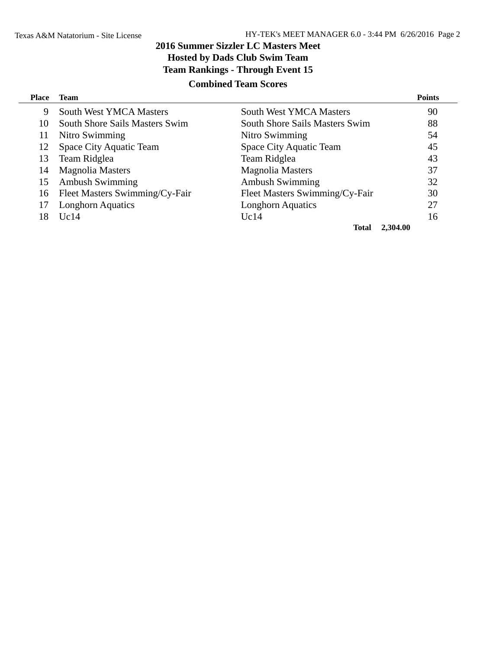# **2016 Summer Sizzler LC Masters Meet Hosted by Dads Club Swim Team Team Rankings - Through Event 15**

# **Combined Team Scores**

| <b>Place</b> | <b>Team</b>                           |                                       | <b>Points</b> |
|--------------|---------------------------------------|---------------------------------------|---------------|
| 9            | <b>South West YMCA Masters</b>        | <b>South West YMCA Masters</b>        | 90            |
| 10           | <b>South Shore Sails Masters Swim</b> | <b>South Shore Sails Masters Swim</b> | 88            |
| 11           | Nitro Swimming                        | Nitro Swimming                        | 54            |
| 12           | Space City Aquatic Team               | Space City Aquatic Team               | 45            |
| 13           | Team Ridglea                          | Team Ridglea                          | 43            |
| 14           | <b>Magnolia Masters</b>               | Magnolia Masters                      | 37            |
| 15           | <b>Ambush Swimming</b>                | <b>Ambush Swimming</b>                | 32            |
| 16           | Fleet Masters Swimming/Cy-Fair        | Fleet Masters Swimming/Cy-Fair        | 30            |
|              | <b>Longhorn Aquatics</b>              | <b>Longhorn Aquatics</b>              | 27            |
| 18           | Uc14                                  | Uc14                                  | 16            |
|              |                                       | <b>Total</b>                          | 2,304.00      |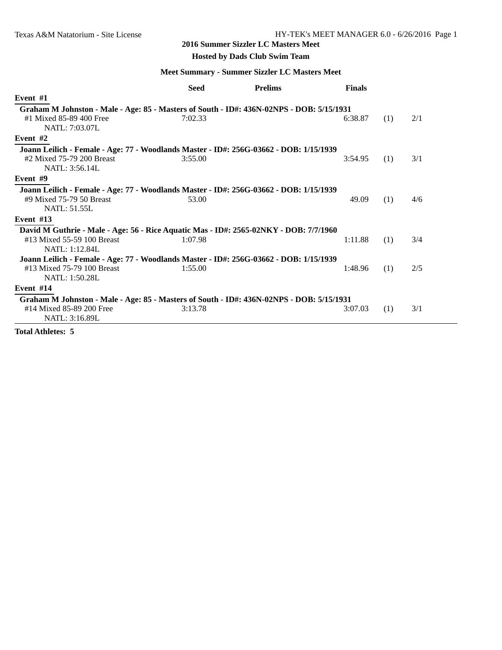#### **2016 Summer Sizzler LC Masters Meet**

## **Hosted by Dads Club Swim Team**

## **Meet Summary - Summer Sizzler LC Masters Meet**

|                                                                                          | Seed    | <b>Prelims</b> | <b>Finals</b> |     |     |
|------------------------------------------------------------------------------------------|---------|----------------|---------------|-----|-----|
| Event #1                                                                                 |         |                |               |     |     |
| Graham M Johnston - Male - Age: 85 - Masters of South - ID#: 436N-02NPS - DOB: 5/15/1931 |         |                |               |     |     |
| #1 Mixed 85-89 400 Free                                                                  | 7:02.33 |                | 6:38.87       | (1) | 2/1 |
| NATL: 7:03.07L                                                                           |         |                |               |     |     |
| Event #2                                                                                 |         |                |               |     |     |
| Joann Leilich - Female - Age: 77 - Woodlands Master - ID#: 256G-03662 - DOB: 1/15/1939   |         |                |               |     |     |
| #2 Mixed 75-79 200 Breast                                                                | 3:55.00 |                | 3:54.95       | (1) | 3/1 |
| NATL: 3:56.14L                                                                           |         |                |               |     |     |
| Event #9                                                                                 |         |                |               |     |     |
| Joann Leilich - Female - Age: 77 - Woodlands Master - ID#: 256G-03662 - DOB: 1/15/1939   |         |                |               |     |     |
| #9 Mixed 75-79 50 Breast                                                                 | 53.00   |                | 49.09         | (1) | 4/6 |
| <b>NATL: 51.55L</b>                                                                      |         |                |               |     |     |
| Event $#13$                                                                              |         |                |               |     |     |
| David M Guthrie - Male - Age: 56 - Rice Aquatic Mas - ID#: 2565-02NKY - DOB: 7/7/1960    |         |                |               |     |     |
| #13 Mixed 55-59 100 Breast                                                               | 1:07.98 |                | 1:11.88       | (1) | 3/4 |
| <b>NATL: 1:12.84L</b>                                                                    |         |                |               |     |     |
| Joann Leilich - Female - Age: 77 - Woodlands Master - ID#: 256G-03662 - DOB: 1/15/1939   |         |                |               |     |     |
| #13 Mixed 75-79 100 Breast                                                               | 1:55.00 |                | 1:48.96       | (1) | 2/5 |
| NATL: 1:50.28L                                                                           |         |                |               |     |     |
| Event $#14$                                                                              |         |                |               |     |     |
| Graham M Johnston - Male - Age: 85 - Masters of South - ID#: 436N-02NPS - DOB: 5/15/1931 |         |                |               |     |     |
| #14 Mixed 85-89 200 Free                                                                 | 3:13.78 |                | 3:07.03       | (1) | 3/1 |
| NATL: 3:16.89L                                                                           |         |                |               |     |     |

**Total Athletes: 5**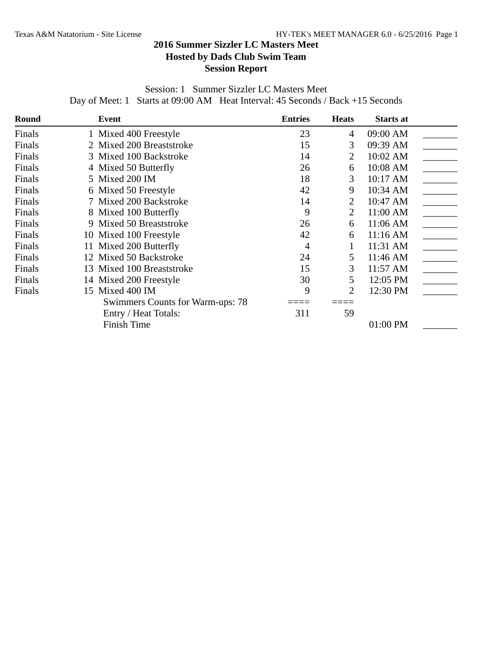# **2016 Summer Sizzler LC Masters Meet Hosted by Dads Club Swim Team Session Report**

Session: 1 Summer Sizzler LC Masters Meet Day of Meet: 1 Starts at 09:00 AM Heat Interval: 45 Seconds / Back +15 Seconds

| Round  | Event                            | <b>Entries</b> | <b>Heats</b> | <b>Starts at</b> |  |
|--------|----------------------------------|----------------|--------------|------------------|--|
| Finals | 1 Mixed 400 Freestyle            | 23             | 4            | 09:00 AM         |  |
| Finals | 2 Mixed 200 Breaststroke         | 15             | 3            | 09:39 AM         |  |
| Finals | 3 Mixed 100 Backstroke           | 14             | 2            | 10:02 AM         |  |
| Finals | 4 Mixed 50 Butterfly             | 26             | 6            | 10:08 AM         |  |
| Finals | 5 Mixed 200 IM                   | 18             | 3            | 10:17 AM         |  |
| Finals | 6 Mixed 50 Freestyle             | 42             | 9            | 10:34 AM         |  |
| Finals | 7 Mixed 200 Backstroke           | 14             | 2            | 10:47 AM         |  |
| Finals | 8 Mixed 100 Butterfly            | 9              | 2            | 11:00 AM         |  |
| Finals | 9 Mixed 50 Breaststroke          | 26             | 6            | 11:06 AM         |  |
| Finals | 10 Mixed 100 Freestyle           | 42             | 6            | $11:16$ AM       |  |
| Finals | 11 Mixed 200 Butterfly           | 4              |              | 11:31 AM         |  |
| Finals | 12 Mixed 50 Backstroke           | 24             | 5            | 11:46 AM         |  |
| Finals | 13 Mixed 100 Breaststroke        | 15             | 3            | 11:57 AM         |  |
| Finals | 14 Mixed 200 Freestyle           | 30             | 5            | 12:05 PM         |  |
| Finals | 15 Mixed 400 IM                  | 9              | 2            | 12:30 PM         |  |
|        | Swimmers Counts for Warm-ups: 78 |                |              |                  |  |
|        | Entry / Heat Totals:             | 311            | 59           |                  |  |
|        | Finish Time                      |                |              | 01:00 PM         |  |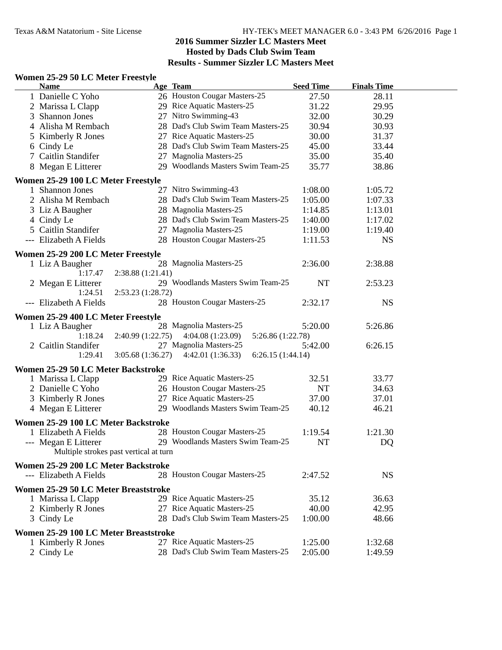#### **Women 25-29 50 LC Meter Freestyle**

| <b>Name</b>                                             |                   | Age Team                              | <b>Seed Time</b> | <b>Finals Time</b> |  |
|---------------------------------------------------------|-------------------|---------------------------------------|------------------|--------------------|--|
| 1 Danielle C Yoho                                       |                   | 26 Houston Cougar Masters-25          | 27.50            | 28.11              |  |
| 2 Marissa L Clapp                                       |                   | 29 Rice Aquatic Masters-25            | 31.22            | 29.95              |  |
| 3 Shannon Jones                                         |                   | 27 Nitro Swimming-43                  | 32.00            | 30.29              |  |
| 4 Alisha M Rembach                                      |                   | 28 Dad's Club Swim Team Masters-25    | 30.94            | 30.93              |  |
| 5 Kimberly R Jones                                      |                   | 27 Rice Aquatic Masters-25            | 30.00            | 31.37              |  |
| 6 Cindy Le                                              |                   | 28 Dad's Club Swim Team Masters-25    | 45.00            | 33.44              |  |
| 7 Caitlin Standifer                                     |                   | 27 Magnolia Masters-25                | 35.00            | 35.40              |  |
| 8 Megan E Litterer                                      |                   | 29 Woodlands Masters Swim Team-25     | 35.77            | 38.86              |  |
| Women 25-29 100 LC Meter Freestyle                      |                   |                                       |                  |                    |  |
| 1 Shannon Jones                                         |                   | 27 Nitro Swimming-43                  | 1:08.00          | 1:05.72            |  |
| 2 Alisha M Rembach                                      |                   | 28 Dad's Club Swim Team Masters-25    | 1:05.00          | 1:07.33            |  |
| 3 Liz A Baugher                                         |                   | 28 Magnolia Masters-25                | 1:14.85          | 1:13.01            |  |
| 4 Cindy Le                                              |                   | 28 Dad's Club Swim Team Masters-25    | 1:40.00          | 1:17.02            |  |
| 5 Caitlin Standifer                                     |                   | 27 Magnolia Masters-25                | 1:19.00          | 1:19.40            |  |
| --- Elizabeth A Fields                                  |                   | 28 Houston Cougar Masters-25          | 1:11.53          | <b>NS</b>          |  |
| Women 25-29 200 LC Meter Freestyle                      |                   |                                       |                  |                    |  |
| 1 Liz A Baugher                                         |                   | 28 Magnolia Masters-25                | 2:36.00          | 2:38.88            |  |
| 1:17.47                                                 | 2:38.88(1:21.41)  |                                       |                  |                    |  |
| 2 Megan E Litterer                                      |                   | 29 Woodlands Masters Swim Team-25     | <b>NT</b>        | 2:53.23            |  |
| 1:24.51                                                 | 2:53.23 (1:28.72) |                                       |                  |                    |  |
| --- Elizabeth A Fields                                  |                   | 28 Houston Cougar Masters-25          | 2:32.17          | <b>NS</b>          |  |
| Women 25-29 400 LC Meter Freestyle                      |                   |                                       |                  |                    |  |
| 1 Liz A Baugher                                         |                   | 28 Magnolia Masters-25                | 5:20.00          | 5:26.86            |  |
| 1:18.24                                                 | 2:40.99(1:22.75)  | 4:04.08(1:23.09)<br>5:26.86 (1:22.78) |                  |                    |  |
| 2 Caitlin Standifer                                     |                   | 27 Magnolia Masters-25                | 5:42.00          | 6:26.15            |  |
| 1:29.41                                                 | 3:05.68(1:36.27)  | 6:26.15(1:44.14)<br>4:42.01(1:36.33)  |                  |                    |  |
|                                                         |                   |                                       |                  |                    |  |
| Women 25-29 50 LC Meter Backstroke<br>1 Marissa L Clapp |                   | 29 Rice Aquatic Masters-25            | 32.51            | 33.77              |  |
| 2 Danielle C Yoho                                       |                   | 26 Houston Cougar Masters-25          | <b>NT</b>        | 34.63              |  |
| 3 Kimberly R Jones                                      |                   | 27 Rice Aquatic Masters-25            | 37.00            | 37.01              |  |
| 4 Megan E Litterer                                      |                   | 29 Woodlands Masters Swim Team-25     | 40.12            | 46.21              |  |
|                                                         |                   |                                       |                  |                    |  |
| Women 25-29 100 LC Meter Backstroke                     |                   |                                       |                  |                    |  |
| 1 Elizabeth A Fields                                    |                   | 28 Houston Cougar Masters-25          | 1:19.54          | 1:21.30            |  |
| --- Megan E Litterer                                    |                   | 29 Woodlands Masters Swim Team-25     | NT               | DQ                 |  |
| Multiple strokes past vertical at turn                  |                   |                                       |                  |                    |  |
| Women 25-29 200 LC Meter Backstroke                     |                   |                                       |                  |                    |  |
| --- Elizabeth A Fields                                  |                   | 28 Houston Cougar Masters-25          | 2:47.52          | <b>NS</b>          |  |
| Women 25-29 50 LC Meter Breaststroke                    |                   |                                       |                  |                    |  |
| 1 Marissa L Clapp                                       |                   | 29 Rice Aquatic Masters-25            | 35.12            | 36.63              |  |
| 2 Kimberly R Jones                                      |                   | 27 Rice Aquatic Masters-25            | 40.00            | 42.95              |  |
| 3 Cindy Le                                              |                   | 28 Dad's Club Swim Team Masters-25    | 1:00.00          | 48.66              |  |
| Women 25-29 100 LC Meter Breaststroke                   |                   |                                       |                  |                    |  |
| 1 Kimberly R Jones                                      |                   | 27 Rice Aquatic Masters-25            | 1:25.00          | 1:32.68            |  |
| 2 Cindy Le                                              |                   | 28 Dad's Club Swim Team Masters-25    | 2:05.00          | 1:49.59            |  |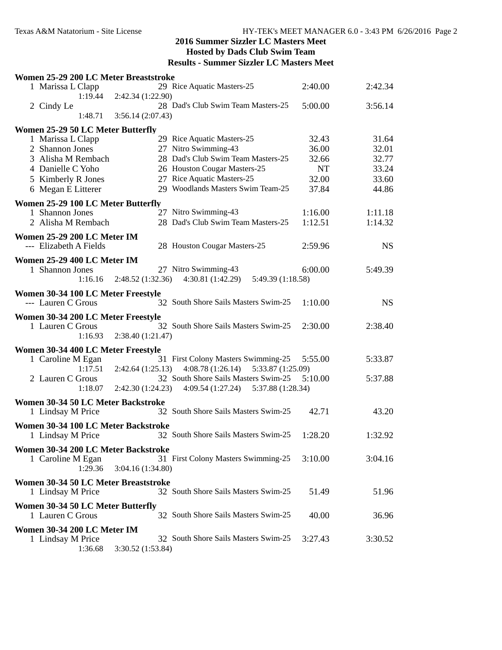| Women 25-29 200 LC Meter Breaststroke            |                   |                                        |           |           |  |
|--------------------------------------------------|-------------------|----------------------------------------|-----------|-----------|--|
| 1 Marissa L Clapp<br>1:19.44                     | 2:42.34 (1:22.90) | 29 Rice Aquatic Masters-25             | 2:40.00   | 2:42.34   |  |
| 2 Cindy Le<br>1:48.71                            | 3:56.14(2:07.43)  | 28 Dad's Club Swim Team Masters-25     | 5:00.00   | 3:56.14   |  |
|                                                  |                   |                                        |           |           |  |
| Women 25-29 50 LC Meter Butterfly                |                   | 29 Rice Aquatic Masters-25             | 32.43     | 31.64     |  |
| 1 Marissa L Clapp<br>2 Shannon Jones             |                   | 27 Nitro Swimming-43                   | 36.00     | 32.01     |  |
|                                                  |                   | 28 Dad's Club Swim Team Masters-25     | 32.66     |           |  |
| 3 Alisha M Rembach                               |                   |                                        |           | 32.77     |  |
| 4 Danielle C Yoho                                |                   | 26 Houston Cougar Masters-25           | <b>NT</b> | 33.24     |  |
| 5 Kimberly R Jones                               |                   | 27 Rice Aquatic Masters-25             | 32.00     | 33.60     |  |
| 6 Megan E Litterer                               |                   | 29 Woodlands Masters Swim Team-25      | 37.84     | 44.86     |  |
| Women 25-29 100 LC Meter Butterfly               |                   |                                        |           |           |  |
| 1 Shannon Jones                                  |                   | 27 Nitro Swimming-43                   | 1:16.00   | 1:11.18   |  |
| 2 Alisha M Rembach                               |                   | 28 Dad's Club Swim Team Masters-25     | 1:12.51   | 1:14.32   |  |
| Women 25-29 200 LC Meter IM                      |                   |                                        |           |           |  |
| --- Elizabeth A Fields                           |                   | 28 Houston Cougar Masters-25           | 2:59.96   | <b>NS</b> |  |
|                                                  |                   |                                        |           |           |  |
| Women 25-29 400 LC Meter IM                      |                   |                                        |           |           |  |
| 1 Shannon Jones                                  |                   | 27 Nitro Swimming-43                   | 6:00.00   | 5:49.39   |  |
| 1:16.16                                          | 2:48.52 (1:32.36) | 4:30.81(1:42.29)<br>5:49.39 (1:18.58)  |           |           |  |
| Women 30-34 100 LC Meter Freestyle               |                   |                                        |           |           |  |
| --- Lauren C Grous                               |                   | 32 South Shore Sails Masters Swim-25   | 1:10.00   | <b>NS</b> |  |
|                                                  |                   |                                        |           |           |  |
| Women 30-34 200 LC Meter Freestyle               |                   | 32 South Shore Sails Masters Swim-25   | 2:30.00   |           |  |
| 1 Lauren C Grous<br>1:16.93                      | 2:38.40 (1:21.47) |                                        |           | 2:38.40   |  |
|                                                  |                   |                                        |           |           |  |
| Women 30-34 400 LC Meter Freestyle               |                   |                                        |           |           |  |
| 1 Caroline M Egan                                |                   | 31 First Colony Masters Swimming-25    | 5:55.00   | 5:33.87   |  |
| 1:17.51                                          | 2:42.64(1:25.13)  | 4:08.78(1:26.14)<br>5:33.87 (1:25.09)  |           |           |  |
| 2 Lauren C Grous                                 |                   | 32 South Shore Sails Masters Swim-25   | 5:10.00   | 5:37.88   |  |
| 1:18.07                                          | 2:42.30(1:24.23)  | 4:09.54 (1:27.24)<br>5:37.88 (1:28.34) |           |           |  |
| Women 30-34 50 LC Meter Backstroke               |                   |                                        |           |           |  |
| 1 Lindsay M Price                                |                   | 32 South Shore Sails Masters Swim-25   | 42.71     | 43.20     |  |
|                                                  |                   |                                        |           |           |  |
| Women 30-34 100 LC Meter Backstroke              |                   |                                        |           |           |  |
| 1 Lindsay M Price                                |                   | 32 South Shore Sails Masters Swim-25   | 1:28.20   | 1:32.92   |  |
| Women 30-34 200 LC Meter Backstroke              |                   |                                        |           |           |  |
| 1 Caroline M Egan                                |                   | 31 First Colony Masters Swimming-25    | 3:10.00   | 3:04.16   |  |
| 1:29.36                                          | 3:04.16 (1:34.80) |                                        |           |           |  |
| Women 30-34 50 LC Meter Breaststroke             |                   |                                        |           |           |  |
| 1 Lindsay M Price                                |                   | 32 South Shore Sails Masters Swim-25   | 51.49     | 51.96     |  |
|                                                  |                   |                                        |           |           |  |
|                                                  |                   |                                        |           |           |  |
| Women 30-34 50 LC Meter Butterfly                |                   |                                        |           |           |  |
| 1 Lauren C Grous                                 |                   | 32 South Shore Sails Masters Swim-25   | 40.00     | 36.96     |  |
|                                                  |                   |                                        |           |           |  |
| Women 30-34 200 LC Meter IM<br>1 Lindsay M Price |                   | 32 South Shore Sails Masters Swim-25   | 3:27.43   | 3:30.52   |  |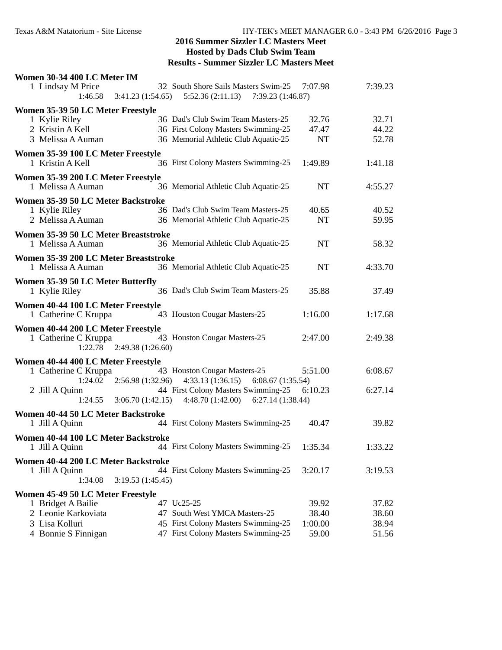| Women 30-34 400 LC Meter IM                                                               |                                                                               |           |         |
|-------------------------------------------------------------------------------------------|-------------------------------------------------------------------------------|-----------|---------|
| 1 Lindsay M Price<br>3:41.23(1:54.65)<br>1:46.58                                          | 32 South Shore Sails Masters Swim-25<br>$5:52.36(2:11.13)$ $7:39.23(1:46.87)$ | 7:07.98   | 7:39.23 |
| Women 35-39 50 LC Meter Freestyle                                                         |                                                                               |           |         |
| 1 Kylie Riley                                                                             | 36 Dad's Club Swim Team Masters-25                                            | 32.76     | 32.71   |
| 2 Kristin A Kell                                                                          | 36 First Colony Masters Swimming-25                                           | 47.47     | 44.22   |
| 3 Melissa A Auman                                                                         | 36 Memorial Athletic Club Aquatic-25                                          | <b>NT</b> | 52.78   |
| Women 35-39 100 LC Meter Freestyle<br>1 Kristin A Kell                                    | 36 First Colony Masters Swimming-25                                           | 1:49.89   | 1:41.18 |
| Women 35-39 200 LC Meter Freestyle<br>1 Melissa A Auman                                   | 36 Memorial Athletic Club Aquatic-25                                          | <b>NT</b> | 4:55.27 |
| Women 35-39 50 LC Meter Backstroke                                                        |                                                                               |           |         |
| 1 Kylie Riley                                                                             | 36 Dad's Club Swim Team Masters-25                                            | 40.65     | 40.52   |
| 2 Melissa A Auman                                                                         | 36 Memorial Athletic Club Aquatic-25                                          | <b>NT</b> | 59.95   |
| Women 35-39 50 LC Meter Breaststroke                                                      |                                                                               |           |         |
| 1 Melissa A Auman                                                                         | 36 Memorial Athletic Club Aquatic-25                                          | <b>NT</b> | 58.32   |
| Women 35-39 200 LC Meter Breaststroke<br>1 Melissa A Auman                                | 36 Memorial Athletic Club Aquatic-25                                          | <b>NT</b> | 4:33.70 |
| Women 35-39 50 LC Meter Butterfly<br>1 Kylie Riley                                        | 36 Dad's Club Swim Team Masters-25                                            | 35.88     | 37.49   |
| Women 40-44 100 LC Meter Freestyle<br>1 Catherine C Kruppa                                | 43 Houston Cougar Masters-25                                                  | 1:16.00   | 1:17.68 |
| Women 40-44 200 LC Meter Freestyle<br>1 Catherine C Kruppa<br>$1:22.78$ 2:49.38 (1:26.60) | 43 Houston Cougar Masters-25                                                  | 2:47.00   | 2:49.38 |
| Women 40-44 400 LC Meter Freestyle                                                        |                                                                               |           |         |
| 1 Catherine C Kruppa<br>1:24.02<br>2:56.98(1:32.96)                                       | 43 Houston Cougar Masters-25<br>$4:33.13(1:36.15)$ 6:08.67 (1:35.54)          | 5:51.00   | 6:08.67 |
| 2 Jill A Quinn<br>3:06.70(1:42.15)<br>1:24.55                                             | 44 First Colony Masters Swimming-25<br>4:48.70 (1:42.00) 6:27.14 (1:38.44)    | 6:10.23   | 6:27.14 |
| Women 40-44 50 LC Meter Backstroke                                                        |                                                                               |           |         |
| 1 Jill A Quinn                                                                            | 44 First Colony Masters Swimming-25                                           | 40.47     | 39.82   |
| Women 40-44 100 LC Meter Backstroke<br>1 Jill A Quinn                                     | 44 First Colony Masters Swimming-25                                           | 1:35.34   | 1:33.22 |
| Women 40-44 200 LC Meter Backstroke<br>1 Jill A Quinn<br>1:34.08<br>3:19.53(1:45.45)      | 44 First Colony Masters Swimming-25                                           | 3:20.17   | 3:19.53 |
| Women 45-49 50 LC Meter Freestyle                                                         |                                                                               |           |         |
| 1 Bridget A Bailie                                                                        | 47 Uc25-25                                                                    | 39.92     | 37.82   |
| 2 Leonie Karkoviata                                                                       | 47 South West YMCA Masters-25                                                 | 38.40     | 38.60   |
| 3 Lisa Kolluri                                                                            | 45 First Colony Masters Swimming-25                                           | 1:00.00   | 38.94   |
| 4 Bonnie S Finnigan                                                                       | 47 First Colony Masters Swimming-25                                           | 59.00     | 51.56   |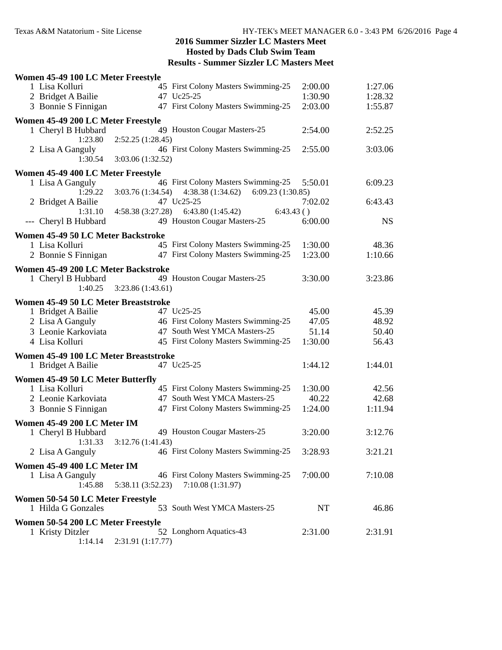| Women 45-49 100 LC Meter Freestyle                      |                                                           |         |           |  |
|---------------------------------------------------------|-----------------------------------------------------------|---------|-----------|--|
| 1 Lisa Kolluri                                          | 45 First Colony Masters Swimming-25                       | 2:00.00 | 1:27.06   |  |
| 2 Bridget A Bailie                                      | 47 Uc25-25                                                | 1:30.90 | 1:28.32   |  |
| 3 Bonnie S Finnigan                                     | 47 First Colony Masters Swimming-25                       | 2:03.00 | 1:55.87   |  |
| Women 45-49 200 LC Meter Freestyle                      |                                                           |         |           |  |
| 1 Cheryl B Hubbard                                      | 49 Houston Cougar Masters-25                              | 2:54.00 | 2:52.25   |  |
| 1:23.80                                                 | 2:52.25 (1:28.45)                                         |         |           |  |
| 2 Lisa A Ganguly                                        | 46 First Colony Masters Swimming-25                       | 2:55.00 | 3:03.06   |  |
| 1:30.54                                                 | 3:03.06 (1:32.52)                                         |         |           |  |
| Women 45-49 400 LC Meter Freestyle                      |                                                           |         |           |  |
| 1 Lisa A Ganguly                                        | 46 First Colony Masters Swimming-25                       | 5:50.01 | 6:09.23   |  |
| 1:29.22                                                 | 6:09.23(1:30.85)<br>$3:03.76(1:34.54)$ $4:38.38(1:34.62)$ |         |           |  |
| 2 Bridget A Bailie                                      | 47 Uc25-25                                                | 7:02.02 | 6:43.43   |  |
| 1:31.10                                                 | $4:58.38(3:27.28)$ $6:43.80(1:45.42)$<br>6:43.43()        |         |           |  |
| --- Cheryl B Hubbard                                    | 49 Houston Cougar Masters-25                              | 6:00.00 | <b>NS</b> |  |
| Women 45-49 50 LC Meter Backstroke                      |                                                           |         |           |  |
| 1 Lisa Kolluri                                          | 45 First Colony Masters Swimming-25                       | 1:30.00 | 48.36     |  |
| 2 Bonnie S Finnigan                                     | 47 First Colony Masters Swimming-25                       | 1:23.00 | 1:10.66   |  |
| Women 45-49 200 LC Meter Backstroke                     |                                                           |         |           |  |
| 1 Cheryl B Hubbard                                      | 49 Houston Cougar Masters-25                              | 3:30.00 | 3:23.86   |  |
| 1:40.25                                                 | 3:23.86(1:43.61)                                          |         |           |  |
| Women 45-49 50 LC Meter Breaststroke                    |                                                           |         |           |  |
| 1 Bridget A Bailie                                      | 47 Uc25-25                                                | 45.00   | 45.39     |  |
| 2 Lisa A Ganguly                                        | 46 First Colony Masters Swimming-25                       | 47.05   | 48.92     |  |
| 3 Leonie Karkoviata                                     | 47 South West YMCA Masters-25                             | 51.14   | 50.40     |  |
| 4 Lisa Kolluri                                          | 45 First Colony Masters Swimming-25                       | 1:30.00 | 56.43     |  |
| Women 45-49 100 LC Meter Breaststroke                   |                                                           |         |           |  |
| 1 Bridget A Bailie                                      | 47 Uc25-25                                                | 1:44.12 | 1:44.01   |  |
| Women 45-49 50 LC Meter Butterfly                       |                                                           |         |           |  |
| 1 Lisa Kolluri                                          | 45 First Colony Masters Swimming-25                       | 1:30.00 | 42.56     |  |
| 2 Leonie Karkoviata                                     | 47 South West YMCA Masters-25                             | 40.22   | 42.68     |  |
| 3 Bonnie S Finnigan                                     | 47 First Colony Masters Swimming-25                       | 1:24.00 | 1:11.94   |  |
| Women 45-49 200 LC Meter IM                             |                                                           |         |           |  |
| 1 Cheryl B Hubbard                                      | 49 Houston Cougar Masters-25                              | 3:20.00 | 3:12.76   |  |
| 1:31.33                                                 | 3:12.76 (1:41.43)                                         |         |           |  |
| 2 Lisa A Ganguly                                        | 46 First Colony Masters Swimming-25                       | 3:28.93 | 3:21.21   |  |
| Women 45-49 400 LC Meter IM                             |                                                           |         |           |  |
| 1 Lisa A Ganguly                                        | 46 First Colony Masters Swimming-25                       | 7:00.00 | 7:10.08   |  |
| 1:45.88                                                 | 5:38.11 (3:52.23)<br>7:10.08 (1:31.97)                    |         |           |  |
|                                                         |                                                           |         |           |  |
| Women 50-54 50 LC Meter Freestyle<br>1 Hilda G Gonzales | 53 South West YMCA Masters-25                             | NT      | 46.86     |  |
|                                                         |                                                           |         |           |  |
|                                                         |                                                           |         |           |  |
| Women 50-54 200 LC Meter Freestyle                      |                                                           |         |           |  |
| 1 Kristy Ditzler<br>1:14.14                             | 52 Longhorn Aquatics-43<br>2:31.91 (1:17.77)              | 2:31.00 | 2:31.91   |  |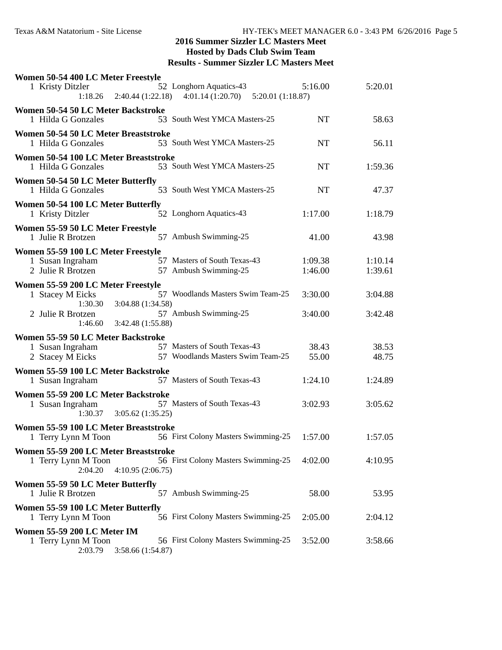| Women 50-54 400 LC Meter Freestyle<br>1 Kristy Ditzler                                      | 52 Longhorn Aquatics-43<br>1:18.26  2:40.44 (1:22.18)  4:01.14 (1:20.70)  5:20.01 (1:18.87) | 5:16.00            | 5:20.01            |
|---------------------------------------------------------------------------------------------|---------------------------------------------------------------------------------------------|--------------------|--------------------|
| Women 50-54 50 LC Meter Backstroke<br>1 Hilda G Gonzales                                    | 53 South West YMCA Masters-25                                                               | <b>NT</b>          | 58.63              |
| Women 50-54 50 LC Meter Breaststroke<br>1 Hilda G Gonzales                                  | 53 South West YMCA Masters-25                                                               | <b>NT</b>          | 56.11              |
| Women 50-54 100 LC Meter Breaststroke<br>1 Hilda G Gonzales                                 | 53 South West YMCA Masters-25                                                               | NT                 | 1:59.36            |
| Women 50-54 50 LC Meter Butterfly<br>1 Hilda G Gonzales                                     | 53 South West YMCA Masters-25                                                               | <b>NT</b>          | 47.37              |
| Women 50-54 100 LC Meter Butterfly<br>1 Kristy Ditzler                                      | 52 Longhorn Aquatics-43                                                                     | 1:17.00            | 1:18.79            |
| Women 55-59 50 LC Meter Freestyle<br>1 Julie R Brotzen                                      | 57 Ambush Swimming-25                                                                       | 41.00              | 43.98              |
| Women 55-59 100 LC Meter Freestyle<br>1 Susan Ingraham<br>2 Julie R Brotzen                 | 57 Masters of South Texas-43<br>57 Ambush Swimming-25                                       | 1:09.38<br>1:46.00 | 1:10.14<br>1:39.61 |
| Women 55-59 200 LC Meter Freestyle<br>1 Stacey M Eicks                                      | 57 Woodlands Masters Swim Team-25                                                           | 3:30.00            | 3:04.88            |
| 1:30.30<br>3:04.88 (1:34.58)<br>2 Julie R Brotzen<br>3:42.48 (1:55.88)<br>1:46.60           | 57 Ambush Swimming-25                                                                       | 3:40.00            | 3:42.48            |
| Women 55-59 50 LC Meter Backstroke<br>1 Susan Ingraham<br>2 Stacey M Eicks                  | 57 Masters of South Texas-43<br>57 Woodlands Masters Swim Team-25                           | 38.43<br>55.00     | 38.53<br>48.75     |
| Women 55-59 100 LC Meter Backstroke<br>1 Susan Ingraham                                     | 57 Masters of South Texas-43                                                                | 1:24.10            | 1:24.89            |
| Women 55-59 200 LC Meter Backstroke<br>1 Susan Ingraham<br>1:30.37<br>3:05.62(1:35.25)      | 57 Masters of South Texas-43                                                                | 3:02.93            | 3:05.62            |
| Women 55-59 100 LC Meter Breaststroke<br>1 Terry Lynn M Toon                                | 56 First Colony Masters Swimming-25                                                         | 1:57.00            | 1:57.05            |
| Women 55-59 200 LC Meter Breaststroke<br>1 Terry Lynn M Toon<br>2:04.20<br>4:10.95(2:06.75) | 56 First Colony Masters Swimming-25                                                         | 4:02.00            | 4:10.95            |
| Women 55-59 50 LC Meter Butterfly<br>1 Julie R Brotzen                                      | 57 Ambush Swimming-25                                                                       | 58.00              | 53.95              |
| Women 55-59 100 LC Meter Butterfly<br>1 Terry Lynn M Toon                                   | 56 First Colony Masters Swimming-25                                                         | 2:05.00            | 2:04.12            |
| Women 55-59 200 LC Meter IM<br>1 Terry Lynn M Toon<br>2:03.79<br>3:58.66 (1:54.87)          | 56 First Colony Masters Swimming-25                                                         | 3:52.00            | 3:58.66            |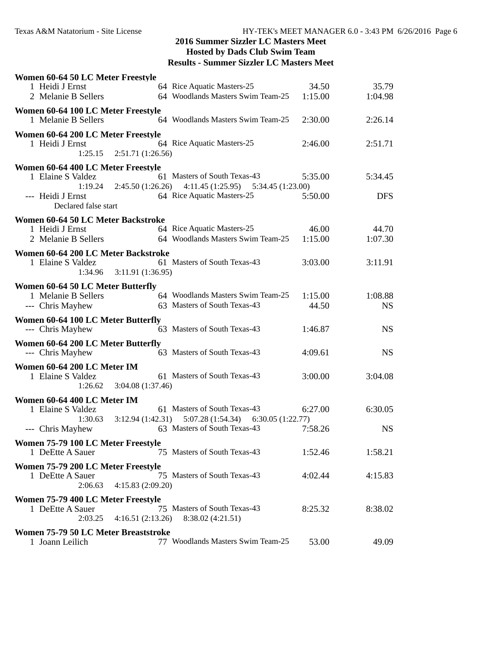| Women 60-64 50 LC Meter Freestyle                         |                   |                                                          |         |            |  |
|-----------------------------------------------------------|-------------------|----------------------------------------------------------|---------|------------|--|
| 1 Heidi J Ernst                                           |                   | 64 Rice Aquatic Masters-25                               | 34.50   | 35.79      |  |
| 2 Melanie B Sellers                                       |                   | 64 Woodlands Masters Swim Team-25                        | 1:15.00 | 1:04.98    |  |
| Women 60-64 100 LC Meter Freestyle<br>1 Melanie B Sellers |                   | 64 Woodlands Masters Swim Team-25                        | 2:30.00 | 2:26.14    |  |
| Women 60-64 200 LC Meter Freestyle                        |                   |                                                          |         |            |  |
| 1 Heidi J Ernst<br>1:25.15                                | 2:51.71(1:26.56)  | 64 Rice Aquatic Masters-25                               | 2:46.00 | 2:51.71    |  |
|                                                           |                   |                                                          |         |            |  |
| Women 60-64 400 LC Meter Freestyle<br>1 Elaine S Valdez   |                   | 61 Masters of South Texas-43                             | 5:35.00 | 5:34.45    |  |
| 1:19.24                                                   |                   | $2:45.50(1:26.26)$ $4:11.45(1:25.95)$ $5:34.45(1:23.00)$ |         |            |  |
| --- Heidi J Ernst<br>Declared false start                 |                   | 64 Rice Aquatic Masters-25                               | 5:50.00 | <b>DFS</b> |  |
| Women 60-64 50 LC Meter Backstroke                        |                   |                                                          |         |            |  |
| 1 Heidi J Ernst                                           |                   | 64 Rice Aquatic Masters-25                               | 46.00   | 44.70      |  |
| 2 Melanie B Sellers                                       |                   | 64 Woodlands Masters Swim Team-25                        | 1:15.00 | 1:07.30    |  |
| Women 60-64 200 LC Meter Backstroke                       |                   |                                                          |         |            |  |
| 1 Elaine S Valdez                                         |                   | 61 Masters of South Texas-43                             | 3:03.00 | 3:11.91    |  |
| 1:34.96                                                   | 3:11.91 (1:36.95) |                                                          |         |            |  |
| Women 60-64 50 LC Meter Butterfly<br>1 Melanie B Sellers  |                   | 64 Woodlands Masters Swim Team-25                        | 1:15.00 | 1:08.88    |  |
| --- Chris Mayhew                                          |                   | 63 Masters of South Texas-43                             | 44.50   | <b>NS</b>  |  |
| Women 60-64 100 LC Meter Butterfly                        |                   |                                                          |         |            |  |
| --- Chris Mayhew                                          |                   | 63 Masters of South Texas-43                             | 1:46.87 | <b>NS</b>  |  |
| Women 60-64 200 LC Meter Butterfly                        |                   |                                                          |         |            |  |
| --- Chris Mayhew                                          |                   | 63 Masters of South Texas-43                             | 4:09.61 | <b>NS</b>  |  |
| Women 60-64 200 LC Meter IM                               |                   |                                                          |         |            |  |
| 1 Elaine S Valdez                                         |                   | 61 Masters of South Texas-43                             | 3:00.00 | 3:04.08    |  |
| 1:26.62                                                   | 3:04.08 (1:37.46) |                                                          |         |            |  |
| Women 60-64 400 LC Meter IM                               |                   |                                                          |         |            |  |
| 1 Elaine S Valdez                                         |                   | 61 Masters of South Texas-43                             | 6:27.00 | 6:30.05    |  |
| 1:30.63                                                   |                   | $3:12.94(1:42.31)$ $5:07.28(1:54.34)$ $6:30.05(1:22.77)$ |         |            |  |
| --- Chris Mayhew                                          |                   | 63 Masters of South Texas-43                             | 7:58.26 | <b>NS</b>  |  |
| Women 75-79 100 LC Meter Freestyle<br>1 DeEtte A Sauer    |                   | 75 Masters of South Texas-43                             |         |            |  |
|                                                           |                   |                                                          | 1:52.46 | 1:58.21    |  |
| Women 75-79 200 LC Meter Freestyle<br>1 DeEtte A Sauer    |                   | 75 Masters of South Texas-43                             | 4:02.44 |            |  |
| 2:06.63                                                   | 4:15.83(2:09.20)  |                                                          |         | 4:15.83    |  |
| Women 75-79 400 LC Meter Freestyle                        |                   |                                                          |         |            |  |
| 1 DeEtte A Sauer                                          |                   | 75 Masters of South Texas-43                             | 8:25.32 | 8:38.02    |  |
| 2:03.25                                                   | 4:16.51(2:13.26)  | 8:38.02 (4:21.51)                                        |         |            |  |
| Women 75-79 50 LC Meter Breaststroke                      |                   |                                                          |         |            |  |
| 1 Joann Leilich                                           |                   | 77 Woodlands Masters Swim Team-25                        | 53.00   | 49.09      |  |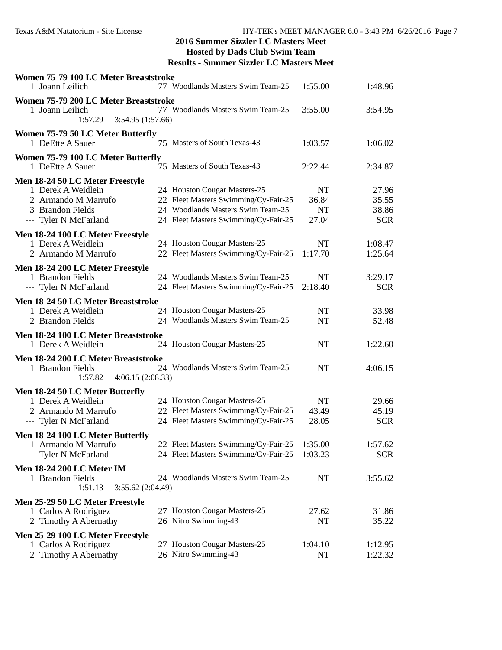| Women 75-79 100 LC Meter Breaststroke<br>1 Joann Leilich                                | 77 Woodlands Masters Swim Team-25    | 1:55.00   | 1:48.96    |  |
|-----------------------------------------------------------------------------------------|--------------------------------------|-----------|------------|--|
|                                                                                         |                                      |           |            |  |
| Women 75-79 200 LC Meter Breaststroke<br>1 Joann Leilich<br>1:57.29<br>3:54.95(1:57.66) | 77 Woodlands Masters Swim Team-25    | 3:55.00   | 3:54.95    |  |
| Women 75-79 50 LC Meter Butterfly                                                       |                                      |           |            |  |
| 1 DeEtte A Sauer                                                                        | 75 Masters of South Texas-43         | 1:03.57   | 1:06.02    |  |
| Women 75-79 100 LC Meter Butterfly                                                      |                                      |           |            |  |
| 1 DeEtte A Sauer                                                                        | 75 Masters of South Texas-43         | 2:22.44   | 2:34.87    |  |
| Men 18-24 50 LC Meter Freestyle                                                         |                                      |           |            |  |
| 1 Derek A Weidlein                                                                      | 24 Houston Cougar Masters-25         | NT        | 27.96      |  |
| 2 Armando M Marrufo                                                                     | 22 Fleet Masters Swimming/Cy-Fair-25 | 36.84     | 35.55      |  |
| 3 Brandon Fields                                                                        | 24 Woodlands Masters Swim Team-25    | <b>NT</b> | 38.86      |  |
| --- Tyler N McFarland                                                                   | 24 Fleet Masters Swimming/Cy-Fair-25 | 27.04     | <b>SCR</b> |  |
| Men 18-24 100 LC Meter Freestyle                                                        |                                      |           |            |  |
| 1 Derek A Weidlein                                                                      | 24 Houston Cougar Masters-25         | NT        | 1:08.47    |  |
| 2 Armando M Marrufo                                                                     | 22 Fleet Masters Swimming/Cy-Fair-25 | 1:17.70   | 1:25.64    |  |
|                                                                                         |                                      |           |            |  |
| Men 18-24 200 LC Meter Freestyle                                                        |                                      |           |            |  |
| 1 Brandon Fields                                                                        | 24 Woodlands Masters Swim Team-25    | NT        | 3:29.17    |  |
| --- Tyler N McFarland                                                                   | 24 Fleet Masters Swimming/Cy-Fair-25 | 2:18.40   | <b>SCR</b> |  |
| Men 18-24 50 LC Meter Breaststroke                                                      |                                      |           |            |  |
| 1 Derek A Weidlein                                                                      | 24 Houston Cougar Masters-25         | <b>NT</b> | 33.98      |  |
| 2 Brandon Fields                                                                        | 24 Woodlands Masters Swim Team-25    | <b>NT</b> | 52.48      |  |
| Men 18-24 100 LC Meter Breaststroke                                                     |                                      |           |            |  |
| 1 Derek A Weidlein                                                                      | 24 Houston Cougar Masters-25         | NT        | 1:22.60    |  |
| Men 18-24 200 LC Meter Breaststroke                                                     |                                      |           |            |  |
| 1 Brandon Fields                                                                        | 24 Woodlands Masters Swim Team-25    | <b>NT</b> | 4:06.15    |  |
| 1:57.82<br>4:06.15(2:08.33)                                                             |                                      |           |            |  |
| Men 18-24 50 LC Meter Butterfly                                                         |                                      |           |            |  |
| 1 Derek A Weidlein                                                                      | 24 Houston Cougar Masters-25         | NT        | 29.66      |  |
| 2 Armando M Marrufo                                                                     | 22 Fleet Masters Swimming/Cy-Fair-25 | 43.49     | 45.19      |  |
| --- Tyler N McFarland                                                                   | 24 Fleet Masters Swimming/Cy-Fair-25 | 28.05     | <b>SCR</b> |  |
| Men 18-24 100 LC Meter Butterfly                                                        |                                      |           |            |  |
| 1 Armando M Marrufo                                                                     | 22 Fleet Masters Swimming/Cy-Fair-25 | 1:35.00   | 1:57.62    |  |
| --- Tyler N McFarland                                                                   | 24 Fleet Masters Swimming/Cy-Fair-25 | 1:03.23   | <b>SCR</b> |  |
|                                                                                         |                                      |           |            |  |
| <b>Men 18-24 200 LC Meter IM</b>                                                        |                                      |           |            |  |
| 1 Brandon Fields                                                                        | 24 Woodlands Masters Swim Team-25    | NT        | 3:55.62    |  |
| 1:51.13<br>3:55.62 (2:04.49)                                                            |                                      |           |            |  |
| Men 25-29 50 LC Meter Freestyle                                                         |                                      |           |            |  |
| 1 Carlos A Rodriguez                                                                    | 27 Houston Cougar Masters-25         | 27.62     | 31.86      |  |
| 2 Timothy A Abernathy                                                                   | 26 Nitro Swimming-43                 | NT        | 35.22      |  |
| Men 25-29 100 LC Meter Freestyle                                                        |                                      |           |            |  |
| 1 Carlos A Rodriguez                                                                    | 27 Houston Cougar Masters-25         | 1:04.10   | 1:12.95    |  |
| 2 Timothy A Abernathy                                                                   | 26 Nitro Swimming-43                 | NT        | 1:22.32    |  |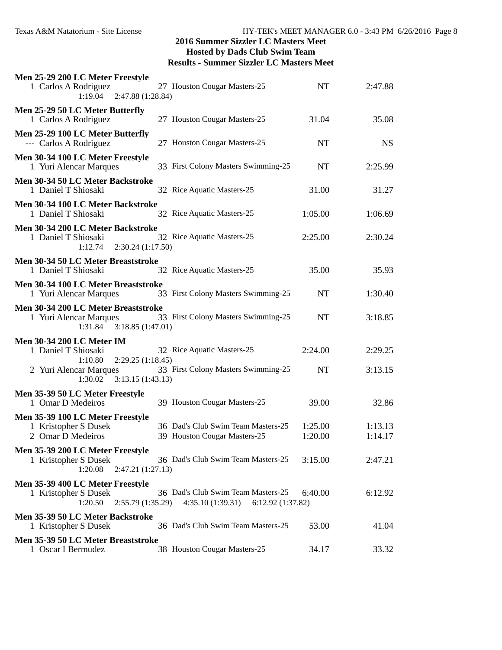| Men 25-29 200 LC Meter Freestyle<br>1 Carlos A Rodriguez<br>2:47.88 (1:28.84)<br>1:19.04     | 27 Houston Cougar Masters-25                                                | NT                 | 2:47.88            |  |
|----------------------------------------------------------------------------------------------|-----------------------------------------------------------------------------|--------------------|--------------------|--|
| Men 25-29 50 LC Meter Butterfly<br>1 Carlos A Rodriguez                                      | 27 Houston Cougar Masters-25                                                | 31.04              | 35.08              |  |
| Men 25-29 100 LC Meter Butterfly<br>--- Carlos A Rodriguez                                   | 27 Houston Cougar Masters-25                                                | <b>NT</b>          | <b>NS</b>          |  |
| Men 30-34 100 LC Meter Freestyle<br>1 Yuri Alencar Marques                                   | 33 First Colony Masters Swimming-25                                         | NT                 | 2:25.99            |  |
| Men 30-34 50 LC Meter Backstroke<br>1 Daniel T Shiosaki                                      | 32 Rice Aquatic Masters-25                                                  | 31.00              | 31.27              |  |
| Men 30-34 100 LC Meter Backstroke<br>1 Daniel T Shiosaki                                     | 32 Rice Aquatic Masters-25                                                  | 1:05.00            | 1:06.69            |  |
| Men 30-34 200 LC Meter Backstroke<br>1 Daniel T Shiosaki<br>2:30.24(1:17.50)<br>1:12.74      | 32 Rice Aquatic Masters-25                                                  | 2:25.00            | 2:30.24            |  |
| Men 30-34 50 LC Meter Breaststroke<br>1 Daniel T Shiosaki                                    | 32 Rice Aquatic Masters-25                                                  | 35.00              | 35.93              |  |
| Men 30-34 100 LC Meter Breaststroke<br>1 Yuri Alencar Marques                                | 33 First Colony Masters Swimming-25                                         | NT                 | 1:30.40            |  |
| Men 30-34 200 LC Meter Breaststroke<br>1 Yuri Alencar Marques<br>1:31.84<br>3:18.85(1:47.01) | 33 First Colony Masters Swimming-25                                         | <b>NT</b>          | 3:18.85            |  |
| <b>Men 30-34 200 LC Meter IM</b><br>1 Daniel T Shiosaki<br>1:10.80<br>2:29.25(1:18.45)       | 32 Rice Aquatic Masters-25                                                  | 2:24.00            | 2:29.25            |  |
| 2 Yuri Alencar Marques<br>3:13.15(1:43.13)<br>1:30.02                                        | 33 First Colony Masters Swimming-25                                         | <b>NT</b>          | 3:13.15            |  |
| Men 35-39 50 LC Meter Freestyle<br>1 Omar D Medeiros                                         | 39 Houston Cougar Masters-25                                                | 39.00              | 32.86              |  |
| Men 35-39 100 LC Meter Freestyle<br>1 Kristopher S Dusek<br>2 Omar D Medeiros                | 36 Dad's Club Swim Team Masters-25<br>39 Houston Cougar Masters-25          | 1:25.00<br>1:20.00 | 1:13.13<br>1:14.17 |  |
| Men 35-39 200 LC Meter Freestyle<br>1 Kristopher S Dusek<br>1:20.08<br>2:47.21(1:27.13)      | 36 Dad's Club Swim Team Masters-25                                          | 3:15.00            | 2:47.21            |  |
| Men 35-39 400 LC Meter Freestyle<br>1 Kristopher S Dusek<br>1:20.50<br>2:55.79 (1:35.29)     | 36 Dad's Club Swim Team Masters-25<br>4:35.10 (1:39.31)<br>6:12.92(1:37.82) | 6:40.00            | 6:12.92            |  |
| Men 35-39 50 LC Meter Backstroke<br>1 Kristopher S Dusek                                     | 36 Dad's Club Swim Team Masters-25                                          | 53.00              | 41.04              |  |
| Men 35-39 50 LC Meter Breaststroke<br>1 Oscar I Bermudez                                     | 38 Houston Cougar Masters-25                                                | 34.17              | 33.32              |  |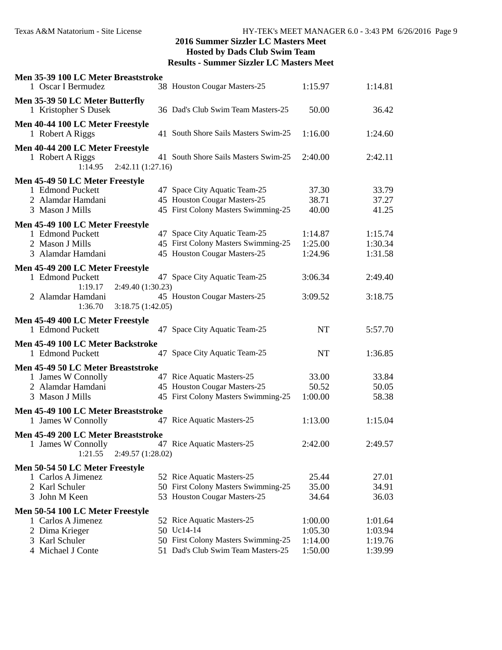| Men 35-39 100 LC Meter Breaststroke<br>1 Oscar I Bermudez                                 | 38 Houston Cougar Masters-25                                                                         | 1:15.97                       | 1:14.81                       |  |
|-------------------------------------------------------------------------------------------|------------------------------------------------------------------------------------------------------|-------------------------------|-------------------------------|--|
| Men 35-39 50 LC Meter Butterfly                                                           |                                                                                                      |                               |                               |  |
| 1 Kristopher S Dusek                                                                      | 36 Dad's Club Swim Team Masters-25                                                                   | 50.00                         | 36.42                         |  |
| Men 40-44 100 LC Meter Freestyle<br>1 Robert A Riggs                                      | 41 South Shore Sails Masters Swim-25                                                                 | 1:16.00                       | 1:24.60                       |  |
| Men 40-44 200 LC Meter Freestyle<br>1 Robert A Riggs<br>2:42.11(1:27.16)<br>1:14.95       | 41 South Shore Sails Masters Swim-25                                                                 | 2:40.00                       | 2:42.11                       |  |
| Men 45-49 50 LC Meter Freestyle                                                           |                                                                                                      |                               |                               |  |
| 1 Edmond Puckett<br>2 Alamdar Hamdani<br>3 Mason J Mills                                  | 47 Space City Aquatic Team-25<br>45 Houston Cougar Masters-25<br>45 First Colony Masters Swimming-25 | 37.30<br>38.71<br>40.00       | 33.79<br>37.27<br>41.25       |  |
| Men 45-49 100 LC Meter Freestyle                                                          |                                                                                                      |                               |                               |  |
| 1 Edmond Puckett<br>2 Mason J Mills<br>3 Alamdar Hamdani                                  | 47 Space City Aquatic Team-25<br>45 First Colony Masters Swimming-25<br>45 Houston Cougar Masters-25 | 1:14.87<br>1:25.00<br>1:24.96 | 1:15.74<br>1:30.34<br>1:31.58 |  |
| Men 45-49 200 LC Meter Freestyle                                                          |                                                                                                      |                               |                               |  |
| 1 Edmond Puckett<br>2:49.40 (1:30.23)<br>1:19.17                                          | 47 Space City Aquatic Team-25                                                                        | 3:06.34                       | 2:49.40                       |  |
| 2 Alamdar Hamdani<br>1:36.70<br>3:18.75(1:42.05)                                          | 45 Houston Cougar Masters-25                                                                         | 3:09.52                       | 3:18.75                       |  |
| Men 45-49 400 LC Meter Freestyle                                                          |                                                                                                      |                               |                               |  |
| 1 Edmond Puckett                                                                          | 47 Space City Aquatic Team-25                                                                        | NT                            | 5:57.70                       |  |
| Men 45-49 100 LC Meter Backstroke<br>1 Edmond Puckett                                     | 47 Space City Aquatic Team-25                                                                        | <b>NT</b>                     | 1:36.85                       |  |
| Men 45-49 50 LC Meter Breaststroke                                                        |                                                                                                      |                               |                               |  |
| 1 James W Connolly                                                                        | 47 Rice Aquatic Masters-25                                                                           | 33.00                         | 33.84                         |  |
| 2 Alamdar Hamdani<br>3 Mason J Mills                                                      | 45 Houston Cougar Masters-25<br>45 First Colony Masters Swimming-25                                  | 50.52<br>1:00.00              | 50.05<br>58.38                |  |
| Men 45-49 100 LC Meter Breaststroke                                                       |                                                                                                      |                               |                               |  |
| 1 James W Connolly                                                                        | 47 Rice Aquatic Masters-25                                                                           | 1:13.00                       | 1:15.04                       |  |
| Men 45-49 200 LC Meter Breaststroke<br>1 James W Connolly<br>1:21.55<br>2:49.57 (1:28.02) | 47 Rice Aquatic Masters-25                                                                           | 2:42.00                       | 2:49.57                       |  |
| Men 50-54 50 LC Meter Freestyle                                                           |                                                                                                      |                               |                               |  |
| 1 Carlos A Jimenez                                                                        | 52 Rice Aquatic Masters-25                                                                           | 25.44                         | 27.01                         |  |
| 2 Karl Schuler                                                                            | 50 First Colony Masters Swimming-25                                                                  | 35.00                         | 34.91                         |  |
| 3 John M Keen                                                                             | 53 Houston Cougar Masters-25                                                                         | 34.64                         | 36.03                         |  |
| Men 50-54 100 LC Meter Freestyle                                                          |                                                                                                      |                               |                               |  |
| 1 Carlos A Jimenez                                                                        | 52 Rice Aquatic Masters-25                                                                           | 1:00.00                       | 1:01.64                       |  |
| 2 Dima Krieger                                                                            | 50 Uc14-14                                                                                           | 1:05.30                       | 1:03.94                       |  |
| 3 Karl Schuler<br>4 Michael J Conte                                                       | 50 First Colony Masters Swimming-25<br>51 Dad's Club Swim Team Masters-25                            | 1:14.00<br>1:50.00            | 1:19.76<br>1:39.99            |  |
|                                                                                           |                                                                                                      |                               |                               |  |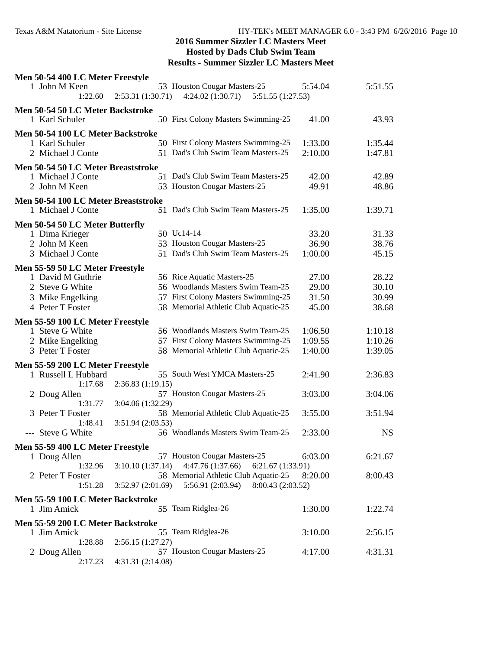| Men 50-54 400 LC Meter Freestyle                        |                   |                                       |         |           |  |
|---------------------------------------------------------|-------------------|---------------------------------------|---------|-----------|--|
| 1 John M Keen                                           |                   | 53 Houston Cougar Masters-25          | 5:54.04 | 5:51.55   |  |
| 1:22.60                                                 | 2:53.31(1:30.71)  | 4:24.02(1:30.71)<br>5:51.55 (1:27.53) |         |           |  |
| Men 50-54 50 LC Meter Backstroke                        |                   |                                       |         |           |  |
| 1 Karl Schuler                                          |                   | 50 First Colony Masters Swimming-25   | 41.00   | 43.93     |  |
| Men 50-54 100 LC Meter Backstroke                       |                   |                                       |         |           |  |
| 1 Karl Schuler                                          |                   | 50 First Colony Masters Swimming-25   | 1:33.00 | 1:35.44   |  |
| 2 Michael J Conte                                       |                   | 51 Dad's Club Swim Team Masters-25    | 2:10.00 | 1:47.81   |  |
|                                                         |                   |                                       |         |           |  |
| Men 50-54 50 LC Meter Breaststroke<br>1 Michael J Conte |                   | 51 Dad's Club Swim Team Masters-25    | 42.00   | 42.89     |  |
| 2 John M Keen                                           |                   | 53 Houston Cougar Masters-25          | 49.91   | 48.86     |  |
|                                                         |                   |                                       |         |           |  |
| Men 50-54 100 LC Meter Breaststroke                     |                   |                                       |         |           |  |
| 1 Michael J Conte                                       |                   | 51 Dad's Club Swim Team Masters-25    | 1:35.00 | 1:39.71   |  |
| Men 50-54 50 LC Meter Butterfly                         |                   |                                       |         |           |  |
| 1 Dima Krieger                                          |                   | 50 Uc14-14                            | 33.20   | 31.33     |  |
| 2 John M Keen                                           |                   | 53 Houston Cougar Masters-25          | 36.90   | 38.76     |  |
| 3 Michael J Conte                                       |                   | 51 Dad's Club Swim Team Masters-25    | 1:00.00 | 45.15     |  |
| Men 55-59 50 LC Meter Freestyle                         |                   |                                       |         |           |  |
| 1 David M Guthrie                                       |                   | 56 Rice Aquatic Masters-25            | 27.00   | 28.22     |  |
| 2 Steve G White                                         |                   | 56 Woodlands Masters Swim Team-25     | 29.00   | 30.10     |  |
| 3 Mike Engelking                                        |                   | 57 First Colony Masters Swimming-25   | 31.50   | 30.99     |  |
| 4 Peter T Foster                                        |                   | 58 Memorial Athletic Club Aquatic-25  | 45.00   | 38.68     |  |
|                                                         |                   |                                       |         |           |  |
| Men 55-59 100 LC Meter Freestyle<br>1 Steve G White     |                   | 56 Woodlands Masters Swim Team-25     | 1:06.50 | 1:10.18   |  |
| 2 Mike Engelking                                        |                   | 57 First Colony Masters Swimming-25   | 1:09.55 | 1:10.26   |  |
| 3 Peter T Foster                                        |                   | 58 Memorial Athletic Club Aquatic-25  | 1:40.00 | 1:39.05   |  |
|                                                         |                   |                                       |         |           |  |
| Men 55-59 200 LC Meter Freestyle                        |                   |                                       |         |           |  |
| 1 Russell L Hubbard                                     |                   | 55 South West YMCA Masters-25         | 2:41.90 | 2:36.83   |  |
| 1:17.68                                                 | 2:36.83 (1:19.15) |                                       |         |           |  |
| 2 Doug Allen<br>1:31.77                                 |                   | 57 Houston Cougar Masters-25          | 3:03.00 | 3:04.06   |  |
| 3 Peter T Foster                                        | 3:04.06 (1:32.29) | 58 Memorial Athletic Club Aquatic-25  | 3:55.00 | 3:51.94   |  |
| 1:48.41                                                 | 3:51.94(2:03.53)  |                                       |         |           |  |
| --- Steve G White                                       |                   | 56 Woodlands Masters Swim Team-25     | 2:33.00 | <b>NS</b> |  |
|                                                         |                   |                                       |         |           |  |
| Men 55-59 400 LC Meter Freestyle                        |                   | 57 Houston Cougar Masters-25          |         |           |  |
| 1 Doug Allen<br>1:32.96                                 | 3:10.10(1:37.14)  | 4:47.76(1:37.66)<br>6:21.67(1:33.91)  | 6:03.00 | 6:21.67   |  |
| 2 Peter T Foster                                        |                   | 58 Memorial Athletic Club Aquatic-25  | 8:20.00 | 8:00.43   |  |
| 1:51.28                                                 | 3:52.97(2:01.69)  | 8:00.43 (2:03.52)<br>5:56.91(2:03.94) |         |           |  |
|                                                         |                   |                                       |         |           |  |
| Men 55-59 100 LC Meter Backstroke                       |                   |                                       |         |           |  |
| 1 Jim Amick                                             |                   | 55 Team Ridglea-26                    | 1:30.00 | 1:22.74   |  |
| Men 55-59 200 LC Meter Backstroke                       |                   |                                       |         |           |  |
| 1 Jim Amick                                             |                   | 55 Team Ridglea-26                    | 3:10.00 | 2:56.15   |  |
| 1:28.88                                                 | 2:56.15(1:27.27)  |                                       |         |           |  |
| 2 Doug Allen                                            |                   | 57 Houston Cougar Masters-25          | 4:17.00 | 4:31.31   |  |
| 2:17.23                                                 | 4:31.31 (2:14.08) |                                       |         |           |  |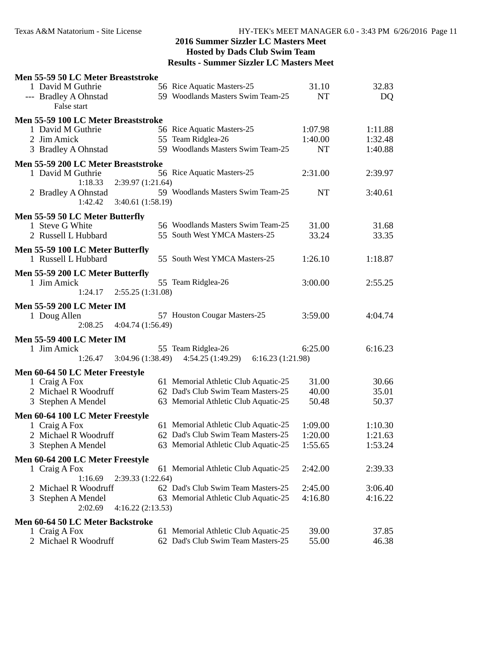| Men 55-59 50 LC Meter Breaststroke                       |                                                                    |           |         |  |
|----------------------------------------------------------|--------------------------------------------------------------------|-----------|---------|--|
| 1 David M Guthrie                                        | 56 Rice Aquatic Masters-25                                         | 31.10     | 32.83   |  |
| --- Bradley A Ohnstad                                    | 59 Woodlands Masters Swim Team-25                                  | NT        | DQ      |  |
| False start                                              |                                                                    |           |         |  |
| Men 55-59 100 LC Meter Breaststroke                      |                                                                    |           |         |  |
| 1 David M Guthrie                                        | 56 Rice Aquatic Masters-25                                         | 1:07.98   | 1:11.88 |  |
| 2 Jim Amick                                              | 55 Team Ridglea-26                                                 | 1:40.00   | 1:32.48 |  |
| 3 Bradley A Ohnstad                                      | 59 Woodlands Masters Swim Team-25                                  | <b>NT</b> | 1:40.88 |  |
|                                                          |                                                                    |           |         |  |
| Men 55-59 200 LC Meter Breaststroke<br>1 David M Guthrie | 56 Rice Aquatic Masters-25                                         | 2:31.00   | 2:39.97 |  |
| 1:18.33<br>2:39.97 (1:21.64)                             |                                                                    |           |         |  |
| 2 Bradley A Ohnstad                                      | 59 Woodlands Masters Swim Team-25                                  | <b>NT</b> | 3:40.61 |  |
| 1:42.42<br>3:40.61 (1:58.19)                             |                                                                    |           |         |  |
|                                                          |                                                                    |           |         |  |
| Men 55-59 50 LC Meter Butterfly                          |                                                                    |           |         |  |
| 1 Steve G White                                          | 56 Woodlands Masters Swim Team-25<br>55 South West YMCA Masters-25 | 31.00     | 31.68   |  |
| 2 Russell L Hubbard                                      |                                                                    | 33.24     | 33.35   |  |
| Men 55-59 100 LC Meter Butterfly                         |                                                                    |           |         |  |
| 1 Russell L Hubbard                                      | 55 South West YMCA Masters-25                                      | 1:26.10   | 1:18.87 |  |
| Men 55-59 200 LC Meter Butterfly                         |                                                                    |           |         |  |
| 1 Jim Amick                                              | 55 Team Ridglea-26                                                 | 3:00.00   | 2:55.25 |  |
| 2:55.25 (1:31.08)<br>1:24.17                             |                                                                    |           |         |  |
| <b>Men 55-59 200 LC Meter IM</b>                         |                                                                    |           |         |  |
| 1 Doug Allen                                             | 57 Houston Cougar Masters-25                                       | 3:59.00   | 4:04.74 |  |
| 2:08.25<br>4:04.74(1:56.49)                              |                                                                    |           |         |  |
|                                                          |                                                                    |           |         |  |
| Men 55-59 400 LC Meter IM                                | 55 Team Ridglea-26                                                 | 6:25.00   |         |  |
| 1 Jim Amick<br>3:04.96(1:38.49)<br>1:26.47               | 4:54.25(1:49.29)<br>6:16.23(1:21.98)                               |           | 6:16.23 |  |
|                                                          |                                                                    |           |         |  |
| Men 60-64 50 LC Meter Freestyle                          |                                                                    |           |         |  |
| 1 Craig A Fox                                            | 61 Memorial Athletic Club Aquatic-25                               | 31.00     | 30.66   |  |
| 2 Michael R Woodruff                                     | 62 Dad's Club Swim Team Masters-25                                 | 40.00     | 35.01   |  |
| 3 Stephen A Mendel                                       | 63 Memorial Athletic Club Aquatic-25                               | 50.48     | 50.37   |  |
| Men 60-64 100 LC Meter Freestyle                         |                                                                    |           |         |  |
| 1 Craig A Fox                                            | 61 Memorial Athletic Club Aquatic-25                               | 1:09.00   | 1:10.30 |  |
| 2 Michael R Woodruff                                     | 62 Dad's Club Swim Team Masters-25                                 | 1:20.00   | 1:21.63 |  |
| 3 Stephen A Mendel                                       | 63 Memorial Athletic Club Aquatic-25                               | 1:55.65   | 1:53.24 |  |
| Men 60-64 200 LC Meter Freestyle                         |                                                                    |           |         |  |
| 1 Craig A Fox                                            | 61 Memorial Athletic Club Aquatic-25                               | 2:42.00   | 2:39.33 |  |
| 1:16.69<br>2:39.33 (1:22.64)                             |                                                                    |           |         |  |
| 2 Michael R Woodruff                                     | 62 Dad's Club Swim Team Masters-25                                 | 2:45.00   | 3:06.40 |  |
| 3 Stephen A Mendel                                       | 63 Memorial Athletic Club Aquatic-25                               | 4:16.80   | 4:16.22 |  |
| 2:02.69<br>4:16.22(2:13.53)                              |                                                                    |           |         |  |
| Men 60-64 50 LC Meter Backstroke                         |                                                                    |           |         |  |
| 1 Craig A Fox                                            | 61 Memorial Athletic Club Aquatic-25                               | 39.00     | 37.85   |  |
| 2 Michael R Woodruff                                     | 62 Dad's Club Swim Team Masters-25                                 | 55.00     | 46.38   |  |
|                                                          |                                                                    |           |         |  |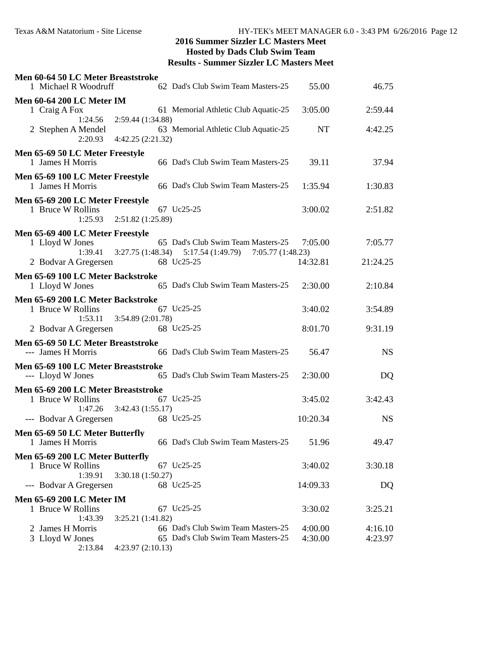| Men 60-64 50 LC Meter Breaststroke<br>1 Michael R Woodruff | 62 Dad's Club Swim Team Masters-25                                  | 55.00     | 46.75     |  |
|------------------------------------------------------------|---------------------------------------------------------------------|-----------|-----------|--|
| <b>Men 60-64 200 LC Meter IM</b>                           |                                                                     |           |           |  |
| 1 Craig A Fox                                              | 61 Memorial Athletic Club Aquatic-25                                | 3:05.00   | 2:59.44   |  |
| $1:24.56$ $2:59.44$ $(1:34.88)$                            | 63 Memorial Athletic Club Aquatic-25                                |           |           |  |
| 2 Stephen A Mendel<br>2:20.93<br>4:42.25(2:21.32)          |                                                                     | <b>NT</b> | 4:42.25   |  |
| Men 65-69 50 LC Meter Freestyle                            |                                                                     |           |           |  |
| 1 James H Morris                                           | 66 Dad's Club Swim Team Masters-25                                  | 39.11     | 37.94     |  |
| Men 65-69 100 LC Meter Freestyle                           |                                                                     |           |           |  |
| 1 James H Morris                                           | 66 Dad's Club Swim Team Masters-25                                  | 1:35.94   | 1:30.83   |  |
| Men 65-69 200 LC Meter Freestyle                           |                                                                     |           |           |  |
| 1 Bruce W Rollins<br>$1:25.93$ $2:51.82$ $(1:25.89)$       | 67 Uc25-25                                                          | 3:00.02   | 2:51.82   |  |
|                                                            |                                                                     |           |           |  |
| Men 65-69 400 LC Meter Freestyle<br>1 Lloyd W Jones        | 65 Dad's Club Swim Team Masters-25                                  | 7:05.00   | 7:05.77   |  |
|                                                            | 1:39.41   3:27.75 (1:48.34)   5:17.54 (1:49.79)   7:05.77 (1:48.23) |           |           |  |
| 2 Bodvar A Gregersen                                       | 68 Uc25-25                                                          | 14:32.81  | 21:24.25  |  |
| Men 65-69 100 LC Meter Backstroke                          |                                                                     |           |           |  |
| 1 Lloyd W Jones                                            | 65 Dad's Club Swim Team Masters-25                                  | 2:30.00   | 2:10.84   |  |
| Men 65-69 200 LC Meter Backstroke                          |                                                                     |           |           |  |
| 1 Bruce W Rollins                                          | 67 Uc25-25                                                          | 3:40.02   | 3:54.89   |  |
| 3:54.89(2:01.78)<br>1:53.11                                |                                                                     |           |           |  |
| 2 Bodvar A Gregersen 68 Uc25-25                            |                                                                     | 8:01.70   | 9:31.19   |  |
| Men 65-69 50 LC Meter Breaststroke                         |                                                                     |           |           |  |
| --- James H Morris                                         | 66 Dad's Club Swim Team Masters-25                                  | 56.47     | <b>NS</b> |  |
| Men 65-69 100 LC Meter Breaststroke                        |                                                                     |           |           |  |
| --- Lloyd W Jones                                          | 65 Dad's Club Swim Team Masters-25                                  | 2:30.00   | DQ        |  |
| Men 65-69 200 LC Meter Breaststroke                        |                                                                     |           |           |  |
| 1 Bruce W Rollins                                          | 67 Uc25-25                                                          | 3:45.02   | 3:42.43   |  |
| 3:42.43(1:55.17)<br>1:47.26                                | 68 Uc25-25                                                          | 10:20.34  | <b>NS</b> |  |
| --- Bodvar A Gregersen                                     |                                                                     |           |           |  |
| Men 65-69 50 LC Meter Butterfly<br>1 James H Morris        | 66 Dad's Club Swim Team Masters-25 51.96                            |           | 49.47     |  |
| Men 65-69 200 LC Meter Butterfly                           |                                                                     |           |           |  |
| 1 Bruce W Rollins                                          | 67 Uc25-25                                                          | 3:40.02   | 3:30.18   |  |
| 3:30.18 (1:50.27)<br>1:39.91                               |                                                                     |           |           |  |
| --- Bodvar A Gregersen                                     | 68 Uc25-25                                                          | 14:09.33  | DQ        |  |
| <b>Men 65-69 200 LC Meter IM</b>                           |                                                                     |           |           |  |
| 1 Bruce W Rollins<br>1:43.39<br>3:25.21(1:41.82)           | 67 Uc25-25                                                          | 3:30.02   | 3:25.21   |  |
| 2 James H Morris                                           | 66 Dad's Club Swim Team Masters-25                                  | 4:00.00   | 4:16.10   |  |
| 3 Lloyd W Jones                                            | 65 Dad's Club Swim Team Masters-25                                  | 4:30.00   | 4:23.97   |  |
| 2:13.84<br>4:23.97(2:10.13)                                |                                                                     |           |           |  |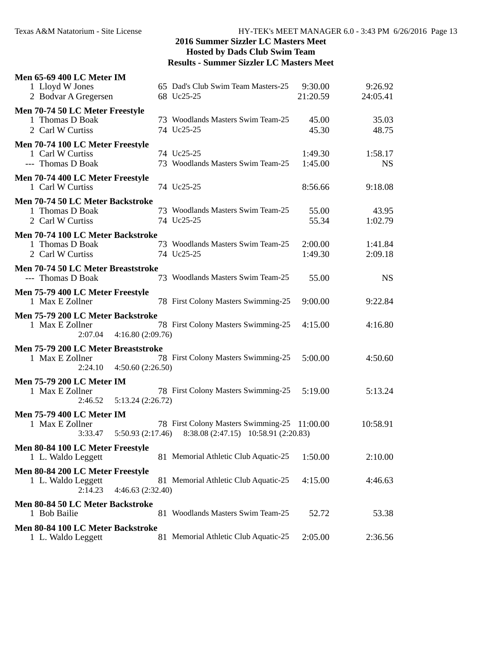| <b>Men 65-69 400 LC Meter IM</b>                        |                                                        |                     |                     |  |
|---------------------------------------------------------|--------------------------------------------------------|---------------------|---------------------|--|
| 1 Lloyd W Jones                                         | 65 Dad's Club Swim Team Masters-25<br>68 Uc25-25       | 9:30.00<br>21:20.59 | 9:26.92<br>24:05.41 |  |
| 2 Bodvar A Gregersen                                    |                                                        |                     |                     |  |
| Men 70-74 50 LC Meter Freestyle<br>1 Thomas D Boak      | 73 Woodlands Masters Swim Team-25                      | 45.00               | 35.03               |  |
| 2 Carl W Curtiss                                        | 74 Uc25-25                                             | 45.30               | 48.75               |  |
| Men 70-74 100 LC Meter Freestyle                        |                                                        |                     |                     |  |
| 1 Carl W Curtiss                                        | 74 Uc25-25                                             | 1:49.30             | 1:58.17             |  |
| --- Thomas D Boak                                       | 73 Woodlands Masters Swim Team-25                      | 1:45.00             | <b>NS</b>           |  |
| Men 70-74 400 LC Meter Freestyle<br>1 Carl W Curtiss    | 74 Uc25-25                                             | 8:56.66             | 9:18.08             |  |
| Men 70-74 50 LC Meter Backstroke                        |                                                        |                     |                     |  |
| 1 Thomas D Boak                                         | 73 Woodlands Masters Swim Team-25                      | 55.00               | 43.95               |  |
| 2 Carl W Curtiss                                        | 74 Uc25-25                                             | 55.34               | 1:02.79             |  |
| Men 70-74 100 LC Meter Backstroke                       |                                                        |                     |                     |  |
| 1 Thomas D Boak                                         | 73 Woodlands Masters Swim Team-25                      | 2:00.00             | 1:41.84             |  |
| 2 Carl W Curtiss                                        | 74 Uc25-25                                             | 1:49.30             | 2:09.18             |  |
| Men 70-74 50 LC Meter Breaststroke<br>--- Thomas D Boak | 73 Woodlands Masters Swim Team-25                      | 55.00               | <b>NS</b>           |  |
| Men 75-79 400 LC Meter Freestyle                        |                                                        |                     |                     |  |
| 1 Max E Zollner                                         | 78 First Colony Masters Swimming-25                    | 9:00.00             | 9:22.84             |  |
| Men 75-79 200 LC Meter Backstroke                       |                                                        |                     |                     |  |
| 1 Max E Zollner                                         | 78 First Colony Masters Swimming-25                    | 4:15.00             | 4:16.80             |  |
| 2:07.04<br>4:16.80 (2:09.76)                            |                                                        |                     |                     |  |
| Men 75-79 200 LC Meter Breaststroke<br>1 Max E Zollner  | 78 First Colony Masters Swimming-25                    | 5:00.00             | 4:50.60             |  |
| 2:24.10<br>4:50.60(2:26.50)                             |                                                        |                     |                     |  |
| <b>Men 75-79 200 LC Meter IM</b>                        |                                                        |                     |                     |  |
| 1 Max E Zollner                                         | 78 First Colony Masters Swimming-25                    | 5:19.00             | 5:13.24             |  |
| $2:46.52$ $5:13.24$ $(2:26.72)$                         |                                                        |                     |                     |  |
| <b>Men 75-79 400 LC Meter IM</b>                        |                                                        |                     |                     |  |
| 1 Max E Zollner                                         | 78 First Colony Masters Swimming-25 11:00.00           |                     | 10:58.91            |  |
| 3:33.47                                                 | 5:50.93 (2:17.46) 8:38.08 (2:47.15) 10:58.91 (2:20.83) |                     |                     |  |
| Men 80-84 100 LC Meter Freestyle<br>1 L. Waldo Leggett  | 81 Memorial Athletic Club Aquatic-25                   | 1:50.00             | 2:10.00             |  |
|                                                         |                                                        |                     |                     |  |
| Men 80-84 200 LC Meter Freestyle<br>1 L. Waldo Leggett  | 81 Memorial Athletic Club Aquatic-25                   | 4:15.00             | 4:46.63             |  |
| 2:14.23<br>4:46.63(2:32.40)                             |                                                        |                     |                     |  |
| Men 80-84 50 LC Meter Backstroke                        |                                                        |                     |                     |  |
| 1 Bob Bailie                                            | 81 Woodlands Masters Swim Team-25                      | 52.72               | 53.38               |  |
| Men 80-84 100 LC Meter Backstroke                       |                                                        |                     |                     |  |
| 1 L. Waldo Leggett                                      | 81 Memorial Athletic Club Aquatic-25                   | 2:05.00             | 2:36.56             |  |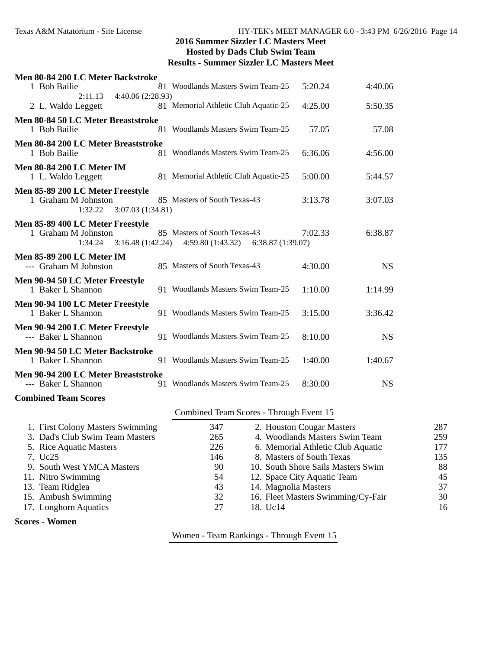| Men 80-84 200 LC Meter Backstroke<br>1 Bob Bailie                                      | 81 Woodlands Masters Swim Team-25                                    | 5:20.24 | 4:40.06   |
|----------------------------------------------------------------------------------------|----------------------------------------------------------------------|---------|-----------|
| 4:40.06 (2:28.93)<br>2:11.13<br>2 L. Waldo Leggett                                     | 81 Memorial Athletic Club Aquatic-25                                 | 4:25.00 | 5:50.35   |
| Men 80-84 50 LC Meter Breaststroke<br>1 Bob Bailie                                     | 81 Woodlands Masters Swim Team-25                                    | 57.05   | 57.08     |
| Men 80-84 200 LC Meter Breaststroke<br>1 Bob Bailie                                    | 81 Woodlands Masters Swim Team-25                                    | 6:36.06 | 4:56.00   |
| <b>Men 80-84 200 LC Meter IM</b><br>1 L. Waldo Leggett                                 | 81 Memorial Athletic Club Aquatic-25                                 | 5:00.00 | 5:44.57   |
| Men 85-89 200 LC Meter Freestyle<br>1 Graham M Johnston<br>1:32.22<br>3:07.03(1:34.81) | 85 Masters of South Texas-43                                         | 3:13.78 | 3:07.03   |
| Men 85-89 400 LC Meter Freestyle<br>1 Graham M Johnston<br>1:34.24<br>3:16.48(1:42.24) | 85 Masters of South Texas-43<br>4:59.80(1:43.32)<br>6:38.87(1:39.07) | 7:02.33 | 6:38.87   |
| <b>Men 85-89 200 LC Meter IM</b><br>--- Graham M Johnston                              | 85 Masters of South Texas-43                                         | 4:30.00 | <b>NS</b> |
| Men 90-94 50 LC Meter Freestyle<br>1 Baker L Shannon                                   | 91 Woodlands Masters Swim Team-25                                    | 1:10.00 | 1:14.99   |
| Men 90-94 100 LC Meter Freestyle<br>1 Baker L Shannon                                  | 91 Woodlands Masters Swim Team-25                                    | 3:15.00 | 3:36.42   |
| Men 90-94 200 LC Meter Freestyle<br>--- Baker L Shannon                                | 91 Woodlands Masters Swim Team-25                                    | 8:10.00 | <b>NS</b> |
| Men 90-94 50 LC Meter Backstroke<br>1 Baker L Shannon                                  | 91 Woodlands Masters Swim Team-25                                    | 1:40.00 | 1:40.67   |
| Men 90-94 200 LC Meter Breaststroke<br>--- Baker L Shannon                             | 91 Woodlands Masters Swim Team-25                                    | 8:30.00 | <b>NS</b> |
| <b>Combined Team Scores</b>                                                            |                                                                      |         |           |

#### Combined Team Scores - Through Event 15

| 1. First Colony Masters Swimming | 347 | 2. Houston Cougar Masters          | 287 |
|----------------------------------|-----|------------------------------------|-----|
| 3. Dad's Club Swim Team Masters  | 265 | 4. Woodlands Masters Swim Team     | 259 |
| 5. Rice Aquatic Masters          | 226 | 6. Memorial Athletic Club Aquatic  | 177 |
| 7. Uc25                          | 146 | 8. Masters of South Texas          | 135 |
| 9. South West YMCA Masters       | 90  | 10. South Shore Sails Masters Swim | 88  |
| 11. Nitro Swimming               | 54  | 12. Space City Aquatic Team        | 45  |
| 13. Team Ridglea                 | 43  | 14. Magnolia Masters               | 37  |
| 15. Ambush Swimming              | 32  | 16. Fleet Masters Swimming/Cy-Fair | 30  |
| 17. Longhorn Aquatics            | 27  | 18. Uc14                           | 16  |
| <b>Scores - Women</b>            |     |                                    |     |

Women - Team Rankings - Through Event 15